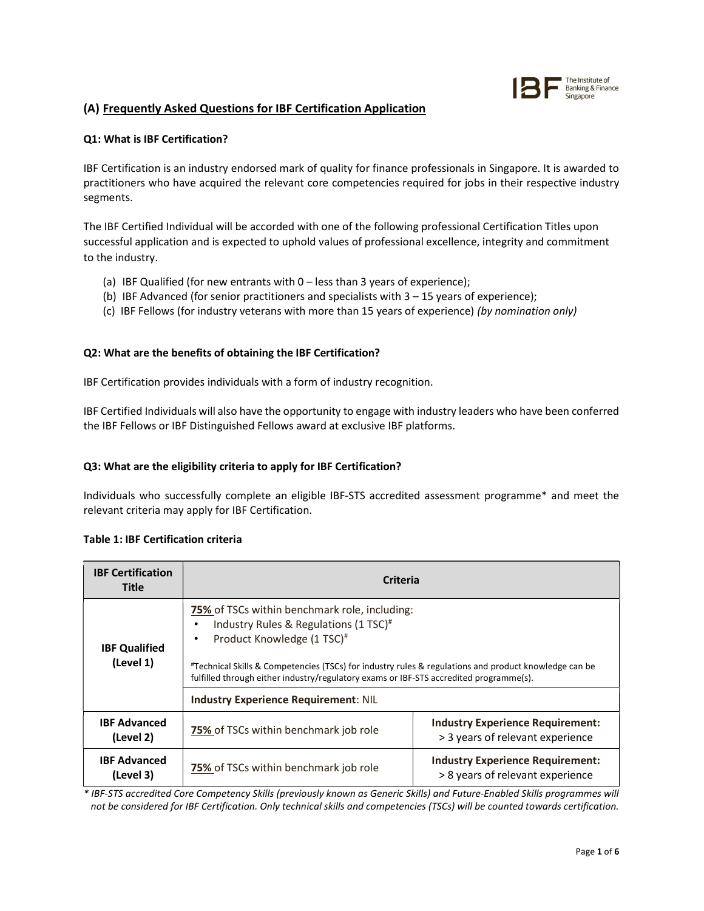

# (A) Frequently Asked Questions for IBF Certification Application

# Q1: What is IBF Certification?

IBF Certification is an industry endorsed mark of quality for finance professionals in Singapore. It is awarded to practitioners who have acquired the relevant core competencies required for jobs in their respective industry segments.

The IBF Certified Individual will be accorded with one of the following professional Certification Titles upon successful application and is expected to uphold values of professional excellence, integrity and commitment to the industry.

- (a) IBF Qualified (for new entrants with 0 less than 3 years of experience);
- (b) IBF Advanced (for senior practitioners and specialists with  $3 15$  years of experience);
- (c) IBF Fellows (for industry veterans with more than 15 years of experience) (by nomination only)

# Q2: What are the benefits of obtaining the IBF Certification?

IBF Certification provides individuals with a form of industry recognition.

IBF Certified Individuals will also have the opportunity to engage with industry leaders who have been conferred the IBF Fellows or IBF Distinguished Fellows award at exclusive IBF platforms.

# Q3: What are the eligibility criteria to apply for IBF Certification?

Individuals who successfully complete an eligible IBF-STS accredited assessment programme\* and meet the relevant criteria may apply for IBF Certification.

# Table 1: IBF Certification criteria

| <b>IBF Certification</b><br><b>Title</b> | <b>Criteria</b>                                                                                                                                                                                                                                                                                                                                        |                                                                             |  |
|------------------------------------------|--------------------------------------------------------------------------------------------------------------------------------------------------------------------------------------------------------------------------------------------------------------------------------------------------------------------------------------------------------|-----------------------------------------------------------------------------|--|
| <b>IBF Qualified</b><br>(Level 1)        | <b>75%</b> of TSCs within benchmark role, including:<br>Industry Rules & Regulations (1 TSC) <sup>#</sup><br>Product Knowledge (1 TSC) <sup>#</sup><br>#Technical Skills & Competencies (TSCs) for industry rules & regulations and product knowledge can be<br>fulfilled through either industry/regulatory exams or IBF-STS accredited programme(s). |                                                                             |  |
|                                          | <b>Industry Experience Requirement: NIL</b>                                                                                                                                                                                                                                                                                                            |                                                                             |  |
| <b>IBF Advanced</b><br>(Level 2)         | 75% of TSCs within benchmark job role                                                                                                                                                                                                                                                                                                                  | <b>Industry Experience Requirement:</b><br>> 3 years of relevant experience |  |
| <b>IBF Advanced</b><br>(Level 3)         | 75% of TSCs within benchmark job role                                                                                                                                                                                                                                                                                                                  | <b>Industry Experience Requirement:</b><br>> 8 years of relevant experience |  |

\* IBF-STS accredited Core Competency Skills (previously known as Generic Skills) and Future-Enabled Skills programmes will not be considered for IBF Certification. Only technical skills and competencies (TSCs) will be counted towards certification.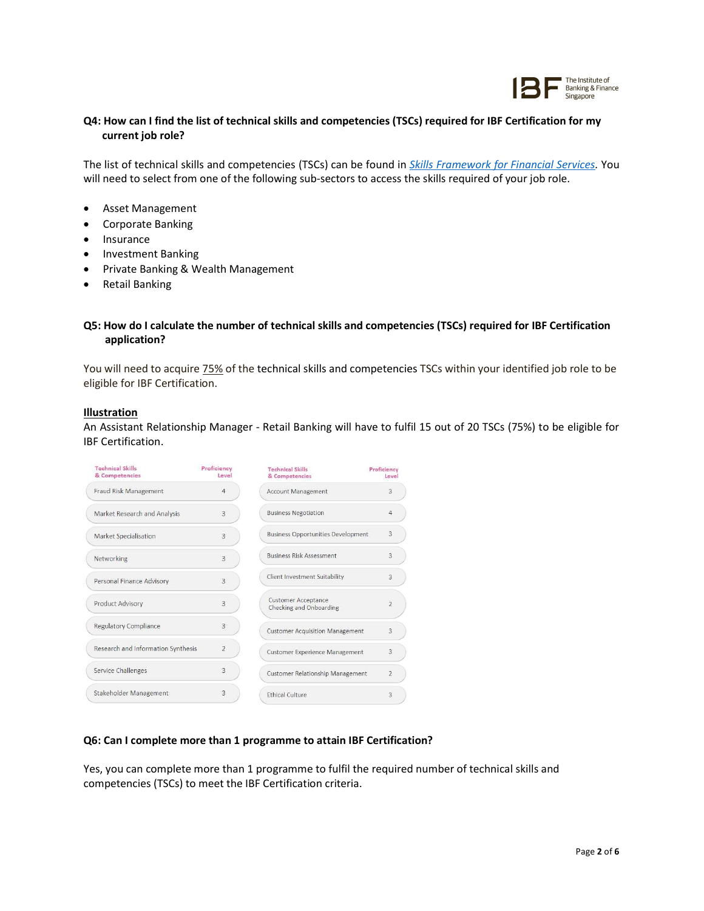

# Q4: How can I find the list of technical skills and competencies (TSCs) required for IBF Certification for my current job role?

The list of technical skills and competencies (TSCs) can be found in *Skills Framework for Financial Services*. You will need to select from one of the following sub-sectors to access the skills required of your job role.

- Asset Management
- Corporate Banking
- Insurance
- Investment Banking
- Private Banking & Wealth Management
- **•** Retail Banking

## Q5: How do I calculate the number of technical skills and competencies (TSCs) required for IBF Certification application?

You will need to acquire 75% of the technical skills and competencies TSCs within your identified job role to be eligible for IBF Certification.

#### Illustration

An Assistant Relationship Manager - Retail Banking will have to fulfil 15 out of 20 TSCs (75%) to be eligible for IBF Certification.

| <b>Technical Skills</b><br>& Competencies | Proficiency<br>level | <b>Technical Skills</b><br>& Competencies             | Proficiency<br>Level |
|-------------------------------------------|----------------------|-------------------------------------------------------|----------------------|
| Fraud Risk Management                     | $\overline{4}$       | <b>Account Management</b>                             | 3                    |
| Market Research and Analysis              | $\overline{3}$       | <b>Business Negotiation</b>                           | 4                    |
| <b>Market Specialisation</b>              | 3                    | <b>Business Opportunities Development</b>             | 3                    |
| Networking                                | $\overline{3}$       | <b>Business Risk Assessment</b>                       | 3                    |
| Personal Finance Advisory                 | $\overline{3}$       | Client Investment Suitability                         | 3                    |
| Product Advisory                          | 3                    | <b>Customer Acceptance</b><br>Checking and Onboarding | $\overline{2}$       |
| Regulatory Compliance                     | 3                    | <b>Customer Acquisition Management</b>                | 3                    |
| Research and Information Synthesis        | $\overline{2}$       | <b>Customer Experience Management</b>                 | 3                    |
| Service Challenges                        | 3                    | <b>Customer Relationship Management</b>               | $\overline{2}$       |
| Stakeholder Management                    | 3                    | <b>Ethical Culture</b>                                | 3                    |

#### Q6: Can I complete more than 1 programme to attain IBF Certification?

Yes, you can complete more than 1 programme to fulfil the required number of technical skills and competencies (TSCs) to meet the IBF Certification criteria.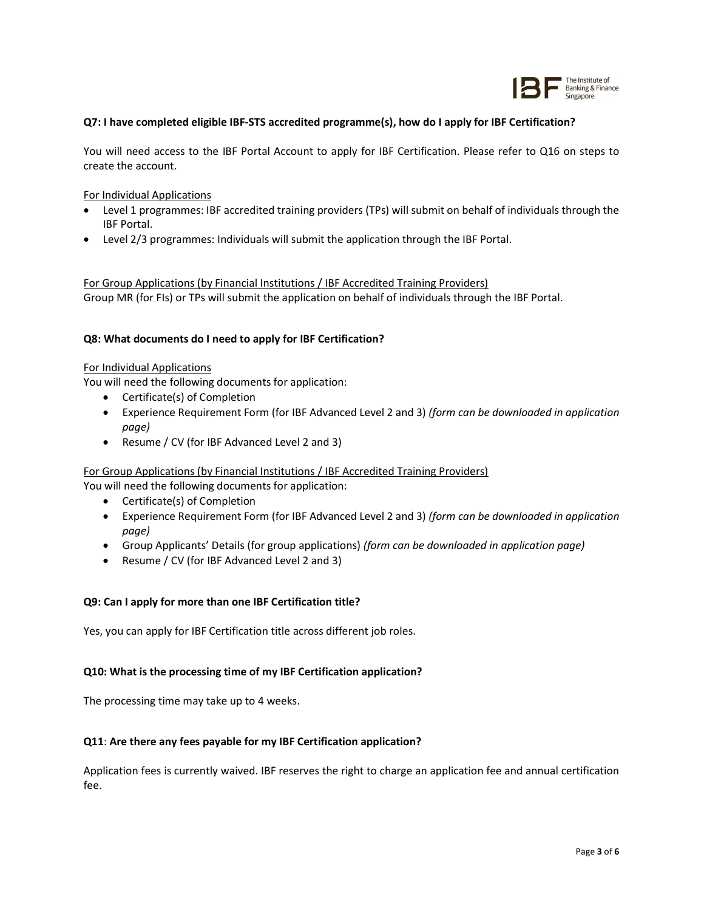

## Q7: I have completed eligible IBF-STS accredited programme(s), how do I apply for IBF Certification?

You will need access to the IBF Portal Account to apply for IBF Certification. Please refer to Q16 on steps to create the account.

#### For Individual Applications

- Level 1 programmes: IBF accredited training providers (TPs) will submit on behalf of individuals through the IBF Portal.
- Level 2/3 programmes: Individuals will submit the application through the IBF Portal.

For Group Applications (by Financial Institutions / IBF Accredited Training Providers) Group MR (for FIs) or TPs will submit the application on behalf of individuals through the IBF Portal.

## Q8: What documents do I need to apply for IBF Certification?

## For Individual Applications

You will need the following documents for application:

- Certificate(s) of Completion
- Experience Requirement Form (for IBF Advanced Level 2 and 3) (form can be downloaded in application page)
- Resume / CV (for IBF Advanced Level 2 and 3)

For Group Applications (by Financial Institutions / IBF Accredited Training Providers)

You will need the following documents for application:

- Certificate(s) of Completion
- Experience Requirement Form (for IBF Advanced Level 2 and 3) (form can be downloaded in application page)
- Group Applicants' Details (for group applications) (form can be downloaded in application page)
- Resume / CV (for IBF Advanced Level 2 and 3)

#### Q9: Can I apply for more than one IBF Certification title?

Yes, you can apply for IBF Certification title across different job roles.

## Q10: What is the processing time of my IBF Certification application?

The processing time may take up to 4 weeks.

## Q11: Are there any fees payable for my IBF Certification application?

Application fees is currently waived. IBF reserves the right to charge an application fee and annual certification fee.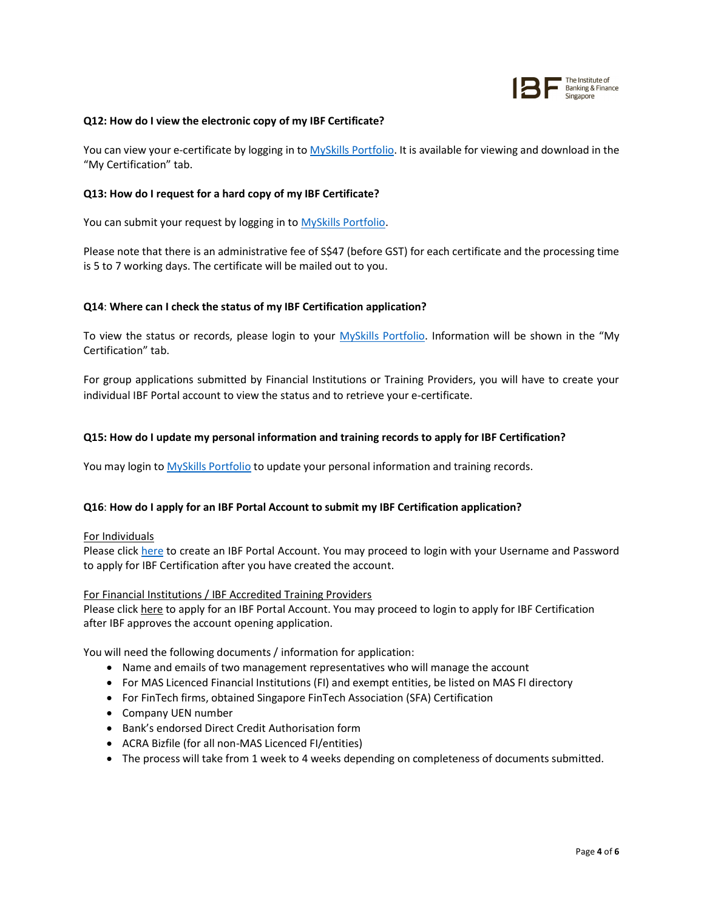

### Q12: How do I view the electronic copy of my IBF Certificate?

You can view your e-certificate by logging in to MySkills Portfolio. It is available for viewing and download in the "My Certification" tab.

### Q13: How do I request for a hard copy of my IBF Certificate?

You can submit your request by logging in to MySkills Portfolio.

Please note that there is an administrative fee of S\$47 (before GST) for each certificate and the processing time is 5 to 7 working days. The certificate will be mailed out to you.

## Q14: Where can I check the status of my IBF Certification application?

To view the status or records, please login to your MySkills Portfolio. Information will be shown in the "My Certification" tab.

For group applications submitted by Financial Institutions or Training Providers, you will have to create your individual IBF Portal account to view the status and to retrieve your e-certificate.

## Q15: How do I update my personal information and training records to apply for IBF Certification?

You may login to MySkills Portfolio to update your personal information and training records.

#### Q16: How do I apply for an IBF Portal Account to submit my IBF Certification application?

#### For Individuals

Please click here to create an IBF Portal Account. You may proceed to login with your Username and Password to apply for IBF Certification after you have created the account.

## For Financial Institutions / IBF Accredited Training Providers

Please click here to apply for an IBF Portal Account. You may proceed to login to apply for IBF Certification after IBF approves the account opening application.

You will need the following documents / information for application:

- Name and emails of two management representatives who will manage the account
- For MAS Licenced Financial Institutions (FI) and exempt entities, be listed on MAS FI directory
- For FinTech firms, obtained Singapore FinTech Association (SFA) Certification
- Company UEN number
- Bank's endorsed Direct Credit Authorisation form
- ACRA Bizfile (for all non-MAS Licenced FI/entities)
- The process will take from 1 week to 4 weeks depending on completeness of documents submitted.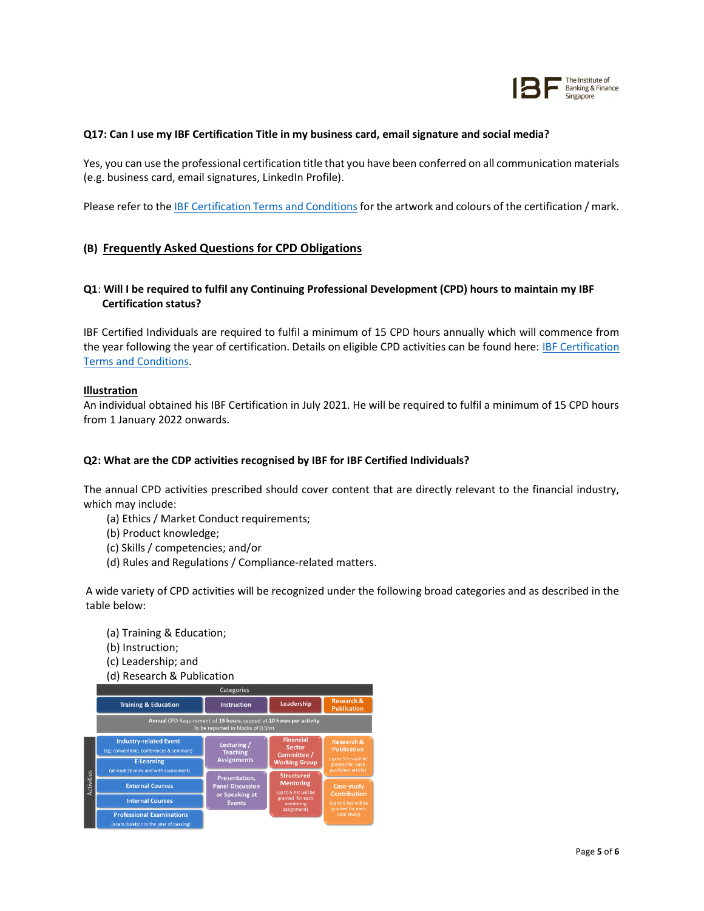

## Q17: Can I use my IBF Certification Title in my business card, email signature and social media?

Yes, you can use the professional certification title that you have been conferred on all communication materials (e.g. business card, email signatures, LinkedIn Profile).

Please refer to the IBF Certification Terms and Conditions for the artwork and colours of the certification / mark.

# (B) Frequently Asked Questions for CPD Obligations

# Q1: Will I be required to fulfil any Continuing Professional Development (CPD) hours to maintain my IBF Certification status?

IBF Certified Individuals are required to fulfil a minimum of 15 CPD hours annually which will commence from the year following the year of certification. Details on eligible CPD activities can be found here: IBF Certification Terms and Conditions.

## Illustration

An individual obtained his IBF Certification in July 2021. He will be required to fulfil a minimum of 15 CPD hours from 1 January 2022 onwards.

#### Q2: What are the CDP activities recognised by IBF for IBF Certified Individuals?

The annual CPD activities prescribed should cover content that are directly relevant to the financial industry, which may include:

- (a) Ethics / Market Conduct requirements;
- (b) Product knowledge;
- (c) Skills / competencies; and/or
- (d) Rules and Regulations / Compliance-related matters.

A wide variety of CPD activities will be recognized under the following broad categories and as described in the table below:

- (a) Training & Education;
- (b) Instruction;
- (c) Leadership; and
- (d) Research & Publication

|            | Categories                                                                                                |                                                            |                                                                                                                                                                                           |                                                                                                               |  |  |  |  |
|------------|-----------------------------------------------------------------------------------------------------------|------------------------------------------------------------|-------------------------------------------------------------------------------------------------------------------------------------------------------------------------------------------|---------------------------------------------------------------------------------------------------------------|--|--|--|--|
|            | <b>Training &amp; Education</b>                                                                           | <b>Instruction</b>                                         | Leadership                                                                                                                                                                                | <b>Research &amp;</b><br><b>Publication</b>                                                                   |  |  |  |  |
|            | Annual CPD Requirement of 15 hours, capped at 10 hours per activity<br>To be reported in blocks of 0.5hrs |                                                            |                                                                                                                                                                                           |                                                                                                               |  |  |  |  |
| Activities | <b>Industry-related Event</b><br>(eg. conventions, conferences & seminars)                                | Lecturing /<br><b>Teaching</b>                             | <b>Financial</b><br><b>Sector</b><br>Committee /<br><b>Working Group</b><br><b>Structured</b><br><b>Mentoring</b><br>(up to 5 hrs will be<br>granted for each<br>mentoring<br>assignment) | <b>Research &amp;</b><br><b>Publication</b><br>(up to 5 hrs will be<br>granted for each<br>published article) |  |  |  |  |
|            | <b>E-Learning</b><br>(at least 30 mins and with assessment)                                               | <b>Assignments</b>                                         |                                                                                                                                                                                           |                                                                                                               |  |  |  |  |
|            | <b>External Courses</b>                                                                                   | Presentation,<br><b>Panel Discussion</b><br>or Speaking at |                                                                                                                                                                                           | Case-study<br><b>Contribution</b><br>(up to 5 hrs will be<br>granted for each<br>case study)                  |  |  |  |  |
|            | <b>Internal Courses</b>                                                                                   | <b>Events</b>                                              |                                                                                                                                                                                           |                                                                                                               |  |  |  |  |
|            | <b>Professional Examinations</b><br>(overe duration in the year of possing)                               |                                                            |                                                                                                                                                                                           |                                                                                                               |  |  |  |  |